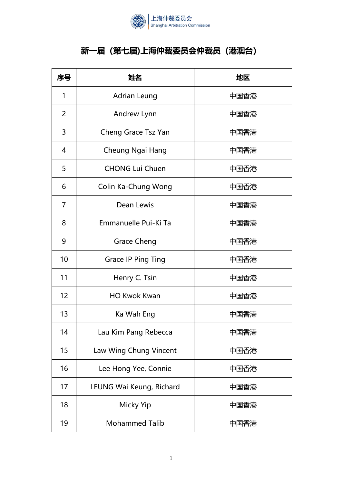

## **新一届(第七届)上海仲裁委员会仲裁员(港澳台)**

| 序号             | 姓名                        | 地区   |
|----------------|---------------------------|------|
| 1              | <b>Adrian Leung</b>       | 中国香港 |
| $\overline{2}$ | Andrew Lynn               | 中国香港 |
| 3              | Cheng Grace Tsz Yan       | 中国香港 |
| 4              | Cheung Ngai Hang          | 中国香港 |
| 5              | <b>CHONG Lui Chuen</b>    | 中国香港 |
| 6              | Colin Ka-Chung Wong       | 中国香港 |
| 7              | Dean Lewis                | 中国香港 |
| 8              | Emmanuelle Pui-Ki Ta      | 中国香港 |
| 9              | <b>Grace Cheng</b>        | 中国香港 |
| 10             | <b>Grace IP Ping Ting</b> | 中国香港 |
| 11             | Henry C. Tsin             | 中国香港 |
| 12             | <b>HO Kwok Kwan</b>       | 中国香港 |
| 13             | Ka Wah Eng                | 中国香港 |
| 14             | Lau Kim Pang Rebecca      | 中国香港 |
| 15             | Law Wing Chung Vincent    | 中国香港 |
| 16             | Lee Hong Yee, Connie      | 中国香港 |
| 17             | LEUNG Wai Keung, Richard  | 中国香港 |
| 18             | <b>Micky Yip</b>          | 中国香港 |
| 19             | <b>Mohammed Talib</b>     | 中国香港 |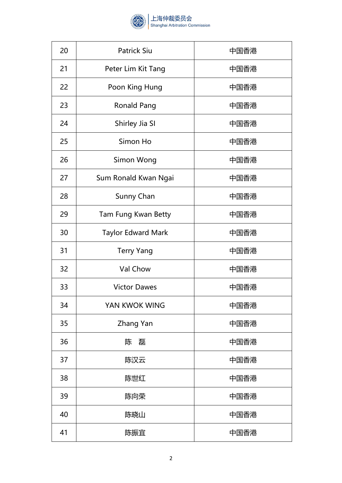

| 20 | <b>Patrick Siu</b>        | 中国香港 |
|----|---------------------------|------|
| 21 | Peter Lim Kit Tang        | 中国香港 |
| 22 | Poon King Hung            | 中国香港 |
| 23 | <b>Ronald Pang</b>        | 中国香港 |
| 24 | Shirley Jia SI            | 中国香港 |
| 25 | Simon Ho                  | 中国香港 |
| 26 | Simon Wong                | 中国香港 |
| 27 | Sum Ronald Kwan Ngai      | 中国香港 |
| 28 | Sunny Chan                | 中国香港 |
| 29 | Tam Fung Kwan Betty       | 中国香港 |
| 30 | <b>Taylor Edward Mark</b> | 中国香港 |
| 31 | <b>Terry Yang</b>         | 中国香港 |
| 32 | Val Chow                  | 中国香港 |
| 33 | <b>Victor Dawes</b>       | 中国香港 |
| 34 | YAN KWOK WING             | 中国香港 |
| 35 | Zhang Yan                 | 中国香港 |
| 36 | 磊<br>陈                    | 中国香港 |
| 37 | 陈汉云                       | 中国香港 |
| 38 | 陈世红                       | 中国香港 |
| 39 | 陈向荣                       | 中国香港 |
| 40 | 陈晓山                       | 中国香港 |
| 41 | 陈振宜                       | 中国香港 |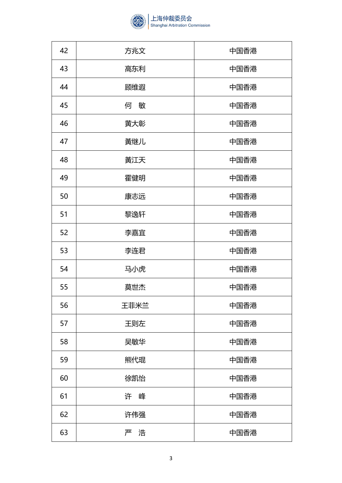

| 42 | 方兆文  | 中国香港 |
|----|------|------|
| 43 | 高东利  | 中国香港 |
| 44 | 顾维遐  | 中国香港 |
| 45 | 何敏   | 中国香港 |
| 46 | 黄大彰  | 中国香港 |
| 47 | 黃继儿  | 中国香港 |
| 48 | 黃江天  | 中国香港 |
| 49 | 霍健明  | 中国香港 |
| 50 | 康志远  | 中国香港 |
| 51 | 黎逸轩  | 中国香港 |
| 52 | 李嘉宜  | 中国香港 |
| 53 | 李连君  | 中国香港 |
| 54 | 马小虎  | 中国香港 |
| 55 | 莫世杰  | 中国香港 |
| 56 | 王菲米兰 | 中国香港 |
| 57 | 王则左  | 中国香港 |
| 58 | 吴敏华  | 中国香港 |
| 59 | 熊代琨  | 中国香港 |
| 60 | 徐凯怡  | 中国香港 |
| 61 | 许峰   | 中国香港 |
| 62 | 许伟强  | 中国香港 |
| 63 | 严浩   | 中国香港 |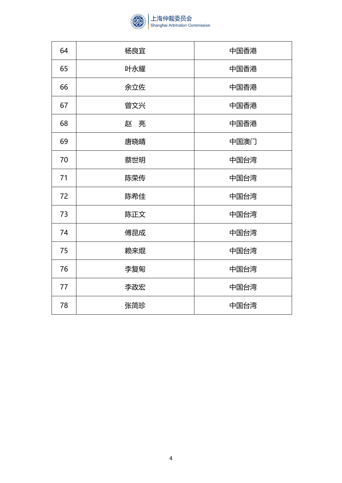

| 64 | 杨良宜 | 中国香港 |
|----|-----|------|
| 65 | 叶永耀 | 中国香港 |
| 66 | 余立佐 | 中国香港 |
| 67 | 曾文兴 | 中国香港 |
| 68 | 赵亮  | 中国香港 |
| 69 | 唐晓晴 | 中国澳门 |
| 70 | 蔡世明 | 中国台湾 |
| 71 | 陈荣传 | 中国台湾 |
| 72 | 陈希佳 | 中国台湾 |
| 73 | 陈正文 | 中国台湾 |
| 74 | 傅昆成 | 中国台湾 |
| 75 | 赖来焜 | 中国台湾 |
| 76 | 李复甸 | 中国台湾 |
| 77 | 李政宏 | 中国台湾 |
| 78 | 张简珍 | 中国台湾 |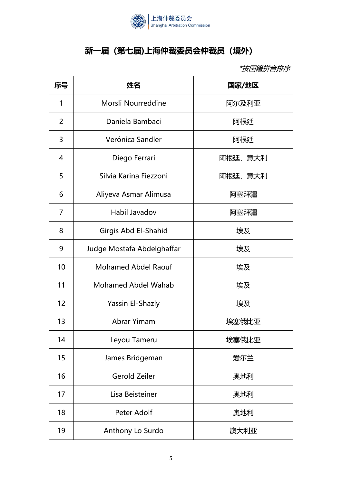

## **新一届(第七届)上海仲裁委员会仲裁员(境外)**

\*按国籍拼音排序

| 序号 | 姓名                         | 国家/地区   |
|----|----------------------------|---------|
| 1  | Morsli Nourreddine         | 阿尔及利亚   |
| 2  | Daniela Bambaci            | 阿根廷     |
| 3  | Verónica Sandler           | 阿根廷     |
| 4  | Diego Ferrari              | 阿根廷、意大利 |
| 5  | Silvia Karina Fiezzoni     | 阿根廷、意大利 |
| 6  | Aliyeva Asmar Alimusa      | 阿塞拜疆    |
| 7  | Habil Javadov              | 阿塞拜疆    |
| 8  | Girgis Abd El-Shahid       | 埃及      |
| 9  | Judge Mostafa Abdelghaffar | 埃及      |
| 10 | <b>Mohamed Abdel Raouf</b> | 埃及      |
| 11 | <b>Mohamed Abdel Wahab</b> | 埃及      |
| 12 | Yassin El-Shazly           | 埃及      |
| 13 | Abrar Yimam                | 埃塞俄比亚   |
| 14 | Leyou Tameru               | 埃塞俄比亚   |
| 15 | James Bridgeman            | 爱尔兰     |
| 16 | <b>Gerold Zeiler</b>       | 奥地利     |
| 17 | Lisa Beisteiner            | 奥地利     |
| 18 | Peter Adolf                | 奥地利     |
| 19 | Anthony Lo Surdo           | 澳大利亚    |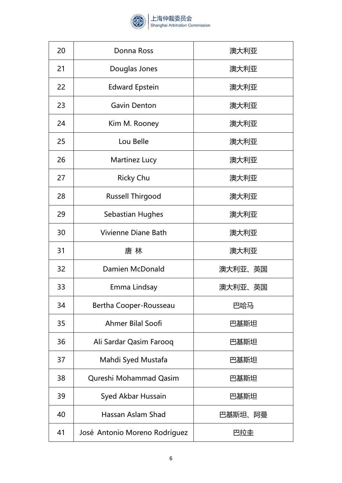

| 20 | Donna Ross              | 澳大利亚    |
|----|-------------------------|---------|
| 21 | Douglas Jones           | 澳大利亚    |
| 22 | <b>Edward Epstein</b>   | 澳大利亚    |
| 23 | <b>Gavin Denton</b>     | 澳大利亚    |
| 24 | Kim M. Rooney           | 澳大利亚    |
| 25 | Lou Belle               | 澳大利亚    |
| 26 | Martinez Lucy           | 澳大利亚    |
| 27 | <b>Ricky Chu</b>        | 澳大利亚    |
| 28 | <b>Russell Thirgood</b> | 澳大利亚    |
| 29 | Sebastian Hughes        | 澳大利亚    |
| 30 | Vivienne Diane Bath     | 澳大利亚    |
| 31 | 唐 林                     | 澳大利亚    |
| 32 | Damien McDonald         | 澳大利亚、英国 |
| 33 | Emma Lindsay            | 澳大利亚、英国 |
| 34 | Bertha Cooper-Rousseau  | 巴哈马     |
| 35 | Ahmer Bilal Soofi       | 巴基斯坦    |
| 36 | Ali Sardar Qasim Farooq | 巴基斯坦    |
| 37 | Mahdi Syed Mustafa      | 巴基斯坦    |
| 38 | Qureshi Mohammad Qasim  | 巴基斯坦    |
| 39 | Syed Akbar Hussain      | 巴基斯坦    |
| 40 | Hassan Aslam Shad       | 巴基斯坦、阿曼 |
| 41 |                         | 巴拉圭     |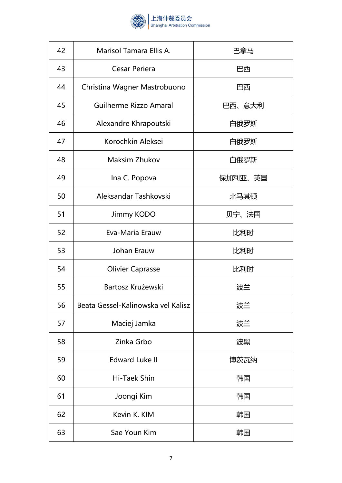

| 42 | Marisol Tamara Ellis A.            | 巴拿马     |
|----|------------------------------------|---------|
| 43 | Cesar Periera                      | 巴西      |
| 44 | Christina Wagner Mastrobuono       | 巴西      |
| 45 | Guilherme Rizzo Amaral             | 巴西、意大利  |
| 46 | Alexandre Khrapoutski              | 白俄罗斯    |
| 47 | Korochkin Aleksei                  | 白俄罗斯    |
| 48 | <b>Maksim Zhukov</b>               | 白俄罗斯    |
| 49 | Ina C. Popova                      | 保加利亚、英国 |
| 50 | Aleksandar Tashkovski              | 北马其顿    |
| 51 | Jimmy KODO                         | 贝宁、法国   |
| 52 | Eva-Maria Erauw                    | 比利时     |
| 53 | Johan Erauw                        | 比利时     |
| 54 | <b>Olivier Caprasse</b>            | 比利时     |
| 55 | Bartosz Krużewski                  | 波兰      |
| 56 | Beata Gessel-Kalinowska vel Kalisz | 波兰      |
| 57 | Maciej Jamka                       | 波兰      |
| 58 | Zinka Grbo                         | 波黑      |
| 59 | <b>Edward Luke II</b>              | 博茨瓦纳    |
| 60 | Hi-Taek Shin                       | 韩国      |
| 61 | Joongi Kim                         | 韩国      |
| 62 | Kevin K. KIM                       | 韩国      |
| 63 | Sae Youn Kim                       | 韩国      |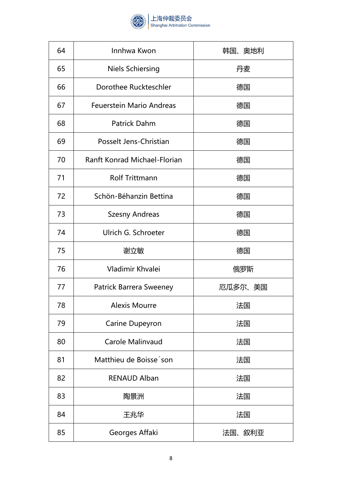

| 64 | Innhwa Kwon                         | 韩国、奥地利  |
|----|-------------------------------------|---------|
| 65 | <b>Niels Schiersing</b>             | 丹麦      |
| 66 | Dorothee Ruckteschler               | 德国      |
| 67 | <b>Feuerstein Mario Andreas</b>     | 德国      |
| 68 | <b>Patrick Dahm</b>                 | 德国      |
| 69 | Posselt Jens-Christian              | 德国      |
| 70 | <b>Ranft Konrad Michael-Florian</b> | 德国      |
| 71 | <b>Rolf Trittmann</b>               | 德国      |
| 72 | Schön-Béhanzin Bettina              | 德国      |
| 73 | <b>Szesny Andreas</b>               | 德国      |
| 74 | Ulrich G. Schroeter                 | 德国      |
| 75 | 谢立敏                                 | 德国      |
| 76 | Vladimir Khvalei                    | 俄罗斯     |
| 77 | <b>Patrick Barrera Sweeney</b>      | 厄瓜多尔、美国 |
| 78 | <b>Alexis Mourre</b>                | 法国      |
| 79 | Carine Dupeyron                     | 法国      |
| 80 | Carole Malinvaud                    | 法国      |
| 81 | Matthieu de Boisse son              | 法国      |
| 82 | <b>RENAUD Alban</b>                 | 法国      |
| 83 | 陶景洲                                 | 法国      |
| 84 | 王兆华                                 | 法国      |
| 85 | Georges Affaki                      | 法国、叙利亚  |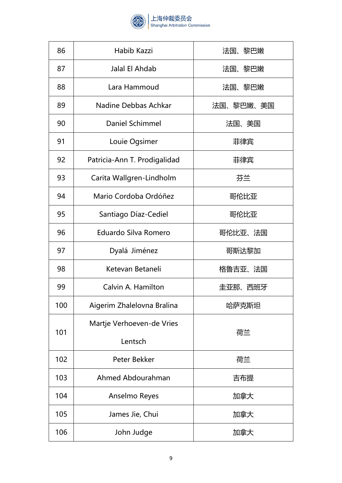

| 86  | Habib Kazzi                  | 法国、黎巴嫩    |
|-----|------------------------------|-----------|
| 87  | Jalal El Ahdab               | 法国、黎巴嫩    |
| 88  | Lara Hammoud                 | 法国、黎巴嫩    |
| 89  | Nadine Debbas Achkar         | 法国、黎巴嫩、美国 |
| 90  | Daniel Schimmel              | 法国、美国     |
| 91  | Louie Ogsimer                | 菲律宾       |
| 92  | Patricia-Ann T. Prodigalidad | 菲律宾       |
| 93  | Carita Wallgren-Lindholm     | 芬兰        |
| 94  | Mario Cordoba Ordóñez        | 哥伦比亚      |
| 95  | Santiago Díaz-Cediel         | 哥伦比亚      |
| 96  | Eduardo Silva Romero         | 哥伦比亚、法国   |
| 97  | Dyalá Jiménez                | 哥斯达黎加     |
|     |                              |           |
| 98  | Ketevan Betaneli             | 格鲁吉亚、法国   |
| 99  | Calvin A. Hamilton           | 圭亚那、西班牙   |
| 100 | Aigerim Zhalelovna Bralina   | 哈萨克斯坦     |
| 101 | Martje Verhoeven-de Vries    | 荷兰        |
|     | Lentsch                      |           |
| 102 | Peter Bekker                 | 荷兰        |
| 103 | Ahmed Abdourahman            | 吉布提       |
| 104 | Anselmo Reyes                | 加拿大       |
| 105 | James Jie, Chui              | 加拿大       |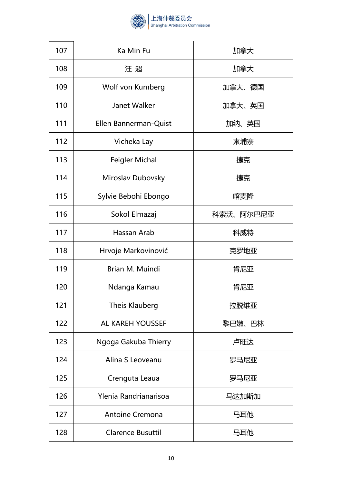

| 107 | Ka Min Fu                | 加拿大       |
|-----|--------------------------|-----------|
| 108 | 汪 超                      | 加拿大       |
| 109 | Wolf von Kumberg         | 加拿大、德国    |
| 110 | Janet Walker             | 加拿大、英国    |
| 111 | Ellen Bannerman-Quist    | 加纳、英国     |
| 112 | Vicheka Lay              | 柬埔寨       |
| 113 | <b>Feigler Michal</b>    | 捷克        |
| 114 | Miroslav Dubovsky        | 捷克        |
| 115 | Sylvie Bebohi Ebongo     | 喀麦隆       |
| 116 | Sokol Elmazaj            | 科索沃、阿尔巴尼亚 |
| 117 | Hassan Arab              | 科威特       |
| 118 | Hrvoje Markovinović      | 克罗地亚      |
| 119 | Brian M. Muindi          | 肯尼亚       |
| 120 | Ndanga Kamau             | 肯尼亚       |
| 121 | <b>Theis Klauberg</b>    | 拉脱维亚      |
| 122 | AL KAREH YOUSSEF         | 黎巴嫩、巴林    |
| 123 | Ngoga Gakuba Thierry     | 卢旺达       |
| 124 | Alina S Leoveanu         | 罗马尼亚      |
| 125 | Crenguta Leaua           | 罗马尼亚      |
| 126 | Ylenia Randrianarisoa    | 马达加斯加     |
| 127 | <b>Antoine Cremona</b>   | 马耳他       |
| 128 | <b>Clarence Busuttil</b> | 马耳他       |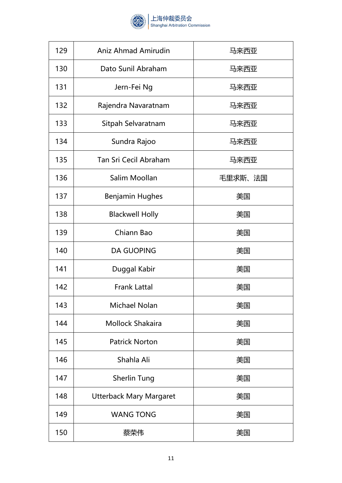

| 129 | Aniz Ahmad Amirudin            | 马来西亚    |
|-----|--------------------------------|---------|
| 130 | Dato Sunil Abraham             | 马来西亚    |
| 131 | Jern-Fei Ng                    | 马来西亚    |
| 132 | Rajendra Navaratnam            | 马来西亚    |
| 133 | Sitpah Selvaratnam             | 马来西亚    |
| 134 | Sundra Rajoo                   | 马来西亚    |
| 135 | Tan Sri Cecil Abraham          | 马来西亚    |
| 136 | Salim Moollan                  | 毛里求斯、法国 |
| 137 | <b>Benjamin Hughes</b>         | 美国      |
| 138 | <b>Blackwell Holly</b>         | 美国      |
| 139 | Chiann Bao                     | 美国      |
| 140 | <b>DA GUOPING</b>              | 美国      |
| 141 | Duggal Kabir                   | 美国      |
| 142 | <b>Frank Lattal</b>            | 美国      |
| 143 | <b>Michael Nolan</b>           | 美国      |
| 144 | <b>Mollock Shakaira</b>        | 美国      |
| 145 | <b>Patrick Norton</b>          | 美国      |
| 146 | Shahla Ali                     | 美国      |
| 147 | <b>Sherlin Tung</b>            | 美国      |
| 148 | <b>Utterback Mary Margaret</b> | 美国      |
| 149 | <b>WANG TONG</b>               | 美国      |
| 150 | 蔡荣伟                            | 美国      |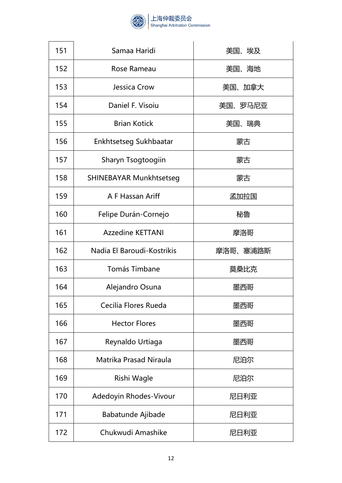

| 151 | Samaa Haridi                   | 美国、埃及    |
|-----|--------------------------------|----------|
| 152 | Rose Rameau                    | 美国、海地    |
| 153 | Jessica Crow                   | 美国、加拿大   |
| 154 | Daniel F. Visoiu               | 美国、罗马尼亚  |
| 155 | <b>Brian Kotick</b>            | 美国、瑞典    |
| 156 | Enkhtsetseg Sukhbaatar         | 蒙古       |
| 157 | Sharyn Tsogtoogiin             | 蒙古       |
| 158 | <b>SHINEBAYAR Munkhtsetseg</b> | 蒙古       |
| 159 | A F Hassan Ariff               | 孟加拉国     |
| 160 | Felipe Durán-Cornejo           | 秘鲁       |
| 161 | <b>Azzedine KETTANI</b>        | 摩洛哥      |
| 162 | Nadia El Baroudi-Kostrikis     | 摩洛哥、塞浦路斯 |
| 163 | Tomás Timbane                  | 莫桑比克     |
| 164 | Alejandro Osuna                | 墨西哥      |
| 165 | Cecilia Flores Rueda           | 墨西哥      |
| 166 | <b>Hector Flores</b>           | 墨西哥      |
| 167 | Reynaldo Urtiaga               | 墨西哥      |
| 168 | Matrika Prasad Niraula         | 尼泊尔      |
| 169 | Rishi Wagle                    | 尼泊尔      |
| 170 | Adedoyin Rhodes-Vivour         | 尼日利亚     |
| 171 | Babatunde Ajibade              | 尼日利亚     |
| 172 | Chukwudi Amashike              | 尼日利亚     |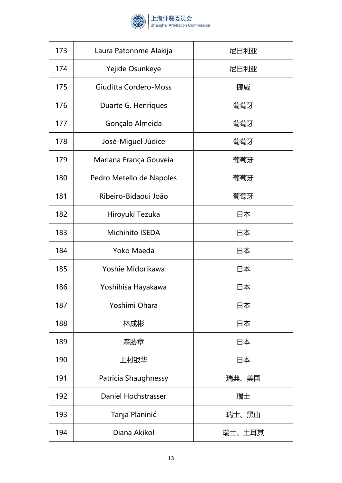

| 173 | Laura Patonnme Alakija   | 尼日利亚   |
|-----|--------------------------|--------|
| 174 | Yejide Osunkeye          | 尼日利亚   |
| 175 | Giuditta Cordero-Moss    | 挪威     |
| 176 | Duarte G. Henriques      | 葡萄牙    |
| 177 | Gonçalo Almeida          | 葡萄牙    |
| 178 | José-Miguel Júdice       | 葡萄牙    |
| 179 | Mariana França Gouveia   | 葡萄牙    |
| 180 | Pedro Metello de Napoles | 葡萄牙    |
| 181 | Ribeiro-Bidaoui João     | 葡萄牙    |
| 182 | Hiroyuki Tezuka          | 日本     |
| 183 | <b>Michihito ISEDA</b>   | 日本     |
| 184 | Yoko Maeda               | 日本     |
| 185 | Yoshie Midorikawa        | 日本     |
| 186 | Yoshihisa Hayakawa       | 日本     |
| 187 | Yoshimi Ohara            | 日本     |
| 188 | 林成彬                      | 日本     |
| 189 | 森胁章                      | 日本     |
| 190 | 上村银华                     | 日本     |
| 191 | Patricia Shaughnessy     | 瑞典、美国  |
| 192 | Daniel Hochstrasser      | 瑞士     |
| 193 | Tanja Planinić           | 瑞士、黑山  |
| 194 | Diana Akikol             | 瑞士、土耳其 |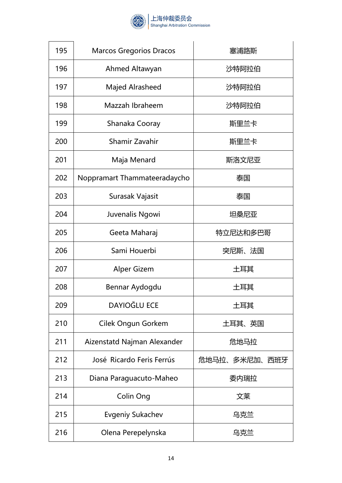

| 195 | <b>Marcos Gregorios Dracos</b> | 塞浦路斯          |
|-----|--------------------------------|---------------|
| 196 | Ahmed Altawyan                 | 沙特阿拉伯         |
| 197 | Majed Alrasheed                | 沙特阿拉伯         |
| 198 | Mazzah Ibraheem                | 沙特阿拉伯         |
| 199 | Shanaka Cooray                 | 斯里兰卡          |
| 200 | Shamir Zavahir                 | 斯里兰卡          |
| 201 | Maja Menard                    | 斯洛文尼亚         |
| 202 | Noppramart Thammateeradaycho   | 泰国            |
| 203 | Surasak Vajasit                | 泰国            |
| 204 | Juvenalis Ngowi                | 坦桑尼亚          |
| 205 | Geeta Maharaj                  | 特立尼达和多巴哥      |
| 206 | Sami Houerbi                   | 突尼斯、法国        |
| 207 | <b>Alper Gizem</b>             | 土耳其           |
| 208 | Bennar Aydogdu                 | 土耳其           |
| 209 | <b>DAYIOĞLU ECE</b>            | 土耳其           |
| 210 | Cilek Ongun Gorkem             | 土耳其、英国        |
| 211 | Aizenstatd Najman Alexander    | 危地马拉          |
| 212 | José Ricardo Feris Ferrús      | 危地马拉、多米尼加、西班牙 |
| 213 | Diana Paraguacuto-Maheo        | 委内瑞拉          |
| 214 | Colin Ong                      | 文莱            |
| 215 | <b>Evgeniy Sukachev</b>        | 乌克兰           |
| 216 | Olena Perepelynska             | 乌克兰           |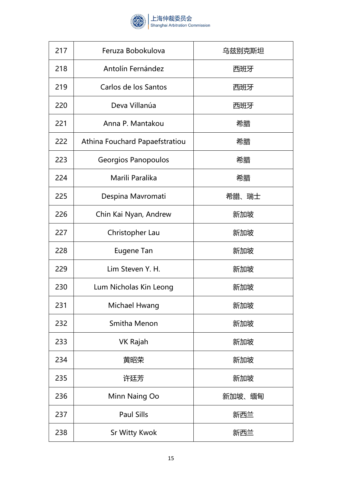

| 217 | Feruza Bobokulova              | 乌兹别克斯坦 |
|-----|--------------------------------|--------|
| 218 | Antolín Fernández              | 西班牙    |
| 219 | Carlos de los Santos           | 西班牙    |
| 220 | Deva Villanúa                  | 西班牙    |
| 221 | Anna P. Mantakou               | 希腊     |
| 222 | Athina Fouchard Papaefstratiou | 希腊     |
| 223 | Georgios Panopoulos            | 希腊     |
| 224 | Marili Paralika                | 希腊     |
| 225 | Despina Mavromati              | 希腊、瑞士  |
| 226 | Chin Kai Nyan, Andrew          | 新加坡    |
| 227 | Christopher Lau                | 新加坡    |
| 228 | <b>Eugene Tan</b>              | 新加坡    |
| 229 | Lim Steven Y. H.               | 新加坡    |
| 230 | Lum Nicholas Kin Leong         | 新加坡    |
| 231 | Michael Hwang                  | 新加坡    |
| 232 | Smitha Menon                   | 新加坡    |
| 233 | <b>VK Rajah</b>                | 新加坡    |
| 234 | 黄昭荣                            | 新加坡    |
| 235 | 许廷芳                            | 新加坡    |
| 236 | Minn Naing Oo                  | 新加坡、缅甸 |
| 237 | <b>Paul Sills</b>              | 新西兰    |
| 238 | <b>Sr Witty Kwok</b>           | 新西兰    |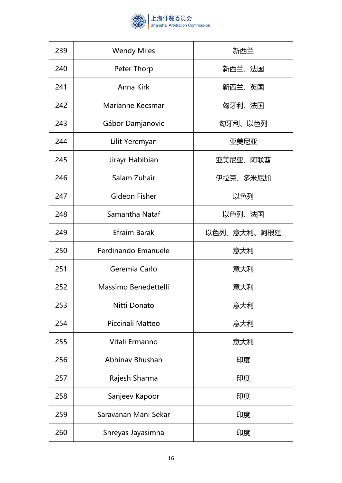

| 239 | <b>Wendy Miles</b>   | 新西兰         |
|-----|----------------------|-------------|
| 240 | Peter Thorp          | 新西兰、法国      |
| 241 | Anna Kirk            | 新西兰、英国      |
| 242 | Marianne Kecsmar     | 匈牙利、法国      |
| 243 | Gábor Damjanovic     | 匈牙利、以色列     |
| 244 | Lilit Yeremyan       | 亚美尼亚        |
| 245 | Jirayr Habibian      | 亚美尼亚、阿联酋    |
| 246 | Salam Zuhair         | 伊拉克、多米尼加    |
| 247 | Gideon Fisher        | 以色列         |
| 248 | Samantha Nataf       | 以色列、法国      |
| 249 | Efraim Barak         | 以色列、意大利、阿根廷 |
| 250 | Ferdinando Emanuele  | 意大利         |
| 251 | Geremia Carlo        | 意大利         |
| 252 | Massimo Benedettelli | 意大利         |
| 253 | Nitti Donato         | 意大利         |
| 254 | Piccinali Matteo     | 意大利         |
| 255 | Vitali Ermanno       | 意大利         |
| 256 | Abhinav Bhushan      | 印度          |
| 257 | Rajesh Sharma        | 印度          |
| 258 | Sanjeev Kapoor       | 印度          |
| 259 | Saravanan Mani Sekar | 印度          |
| 260 | Shreyas Jayasimha    | 印度          |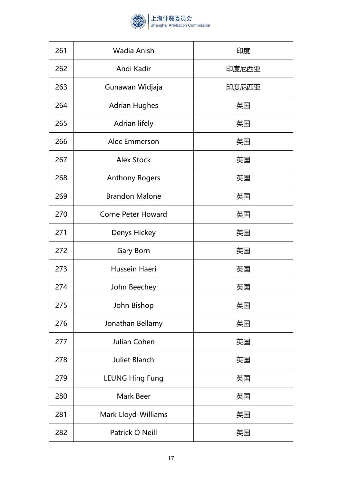

| 261 | Wadia Anish               | 印度    |
|-----|---------------------------|-------|
| 262 | Andi Kadir                | 印度尼西亚 |
| 263 | Gunawan Widjaja           | 印度尼西亚 |
| 264 | <b>Adrian Hughes</b>      | 英国    |
| 265 | Adrian lifely             | 英国    |
| 266 | Alec Emmerson             | 英国    |
| 267 | <b>Alex Stock</b>         | 英国    |
| 268 | <b>Anthony Rogers</b>     | 英国    |
| 269 | <b>Brandon Malone</b>     | 英国    |
| 270 | <b>Corne Peter Howard</b> | 英国    |
| 271 | Denys Hickey              | 英国    |
| 272 | Gary Born                 | 英国    |
| 273 | Hussein Haeri             | 英国    |
| 274 | John Beechey              | 英国    |
| 275 | John Bishop               | 英国    |
| 276 | Jonathan Bellamy          | 英国    |
| 277 | Julian Cohen              | 英国    |
| 278 | <b>Juliet Blanch</b>      | 英国    |
| 279 | <b>LEUNG Hing Fung</b>    | 英国    |
| 280 | Mark Beer                 | 英国    |
| 281 | Mark Lloyd-Williams       | 英国    |
| 282 | Patrick O Neill           | 英国    |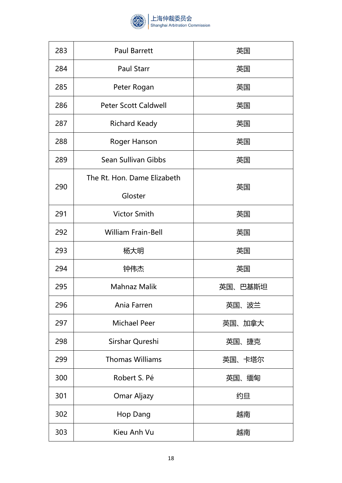

| 283 | <b>Paul Barrett</b>         | 英国      |
|-----|-----------------------------|---------|
| 284 | <b>Paul Starr</b>           | 英国      |
| 285 | Peter Rogan                 | 英国      |
| 286 | <b>Peter Scott Caldwell</b> | 英国      |
| 287 | <b>Richard Keady</b>        | 英国      |
| 288 | Roger Hanson                | 英国      |
| 289 | Sean Sullivan Gibbs         | 英国      |
| 290 | The Rt. Hon. Dame Elizabeth |         |
|     | Gloster                     | 英国      |
| 291 | <b>Victor Smith</b>         | 英国      |
| 292 | <b>William Frain-Bell</b>   | 英国      |
| 293 | 杨大明                         | 英国      |
| 294 | 钟伟杰                         | 英国      |
| 295 | <b>Mahnaz Malik</b>         | 英国、巴基斯坦 |
| 296 | Ania Farren                 | 英国、波兰   |
| 297 | <b>Michael Peer</b>         | 英国、加拿大  |
| 298 | Sirshar Qureshi             | 英国、捷克   |
| 299 | <b>Thomas Williams</b>      | 英国、卡塔尔  |
| 300 | Robert S. Pé                | 英国、缅甸   |
| 301 | Omar Aljazy                 | 约旦      |
| 302 | Hop Dang                    | 越南      |
| 303 | Kieu Anh Vu                 | 越南      |